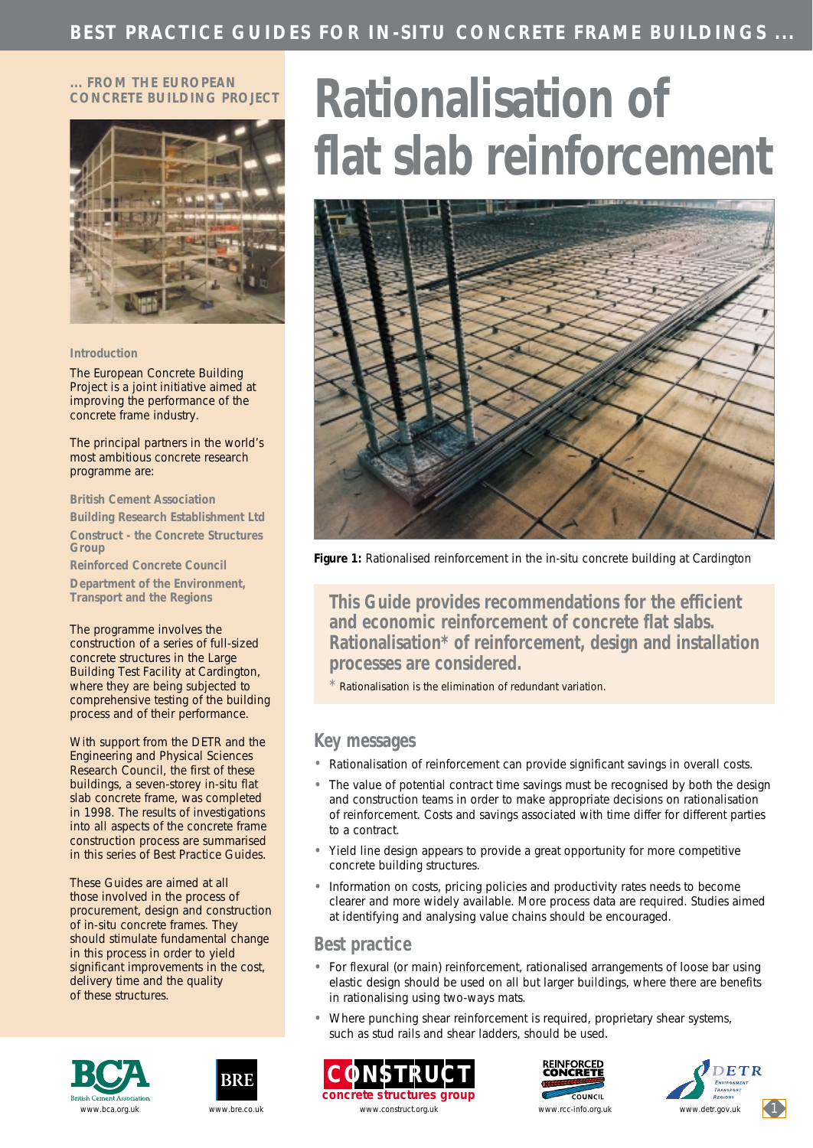#### **... FROM THE EUROPEAN CONCRETE BUILDING PROJECT**



#### **Introduction**

The European Concrete Building Project is a joint initiative aimed at improving the performance of the concrete frame industry.

The principal partners in the world's most ambitious concrete research programme are:

**British Cement Association**

**Building Research Establishment Ltd Construct - the Concrete Structures Group**

**Reinforced Concrete Council**

**Department of the Environment, Transport and the Regions**

The programme involves the construction of a series of full-sized concrete structures in the Large Building Test Facility at Cardington, where they are being subjected to comprehensive testing of the building process and of their performance.

With support from the DETR and the Engineering and Physical Sciences Research Council, the first of these buildings, a seven-storey in-situ flat slab concrete frame, was completed in 1998. The results of investigations into all aspects of the concrete frame construction process are summarised in this series of Best Practice Guides.

These Guides are aimed at all those involved in the process of procurement, design and construction of in-situ concrete frames. They should stimulate fundamental change in this process in order to yield significant improvements in the cost, delivery time and the quality of these structures.





# **Rationalisation of flat slab reinforcement**



*Figure 1: Rationalised reinforcement in the in-situ concrete building at Cardington*

**This Guide provides recommendations for the efficient and economic reinforcement of concrete flat slabs. Rationalisation\* of reinforcement, design and installation processes are considered.**

Rationalisation is the elimination of redundant variation.

### **Key messages**

- Rationalisation of reinforcement can provide significant savings in overall costs.
- The value of potential contract time savings must be recognised by both the design and construction teams in order to make appropriate decisions on rationalisation of reinforcement. Costs and savings associated with time differ for different parties to a contract.
- Yield line design appears to provide a great opportunity for more competitive concrete building structures.
- Information on costs, pricing policies and productivity rates needs to become clearer and more widely available. More process data are required. Studies aimed at identifying and analysing value chains should be encouraged.

## **Best practice**

- For flexural (or main) reinforcement, rationalised arrangements of loose bar using elastic design should be used on all but larger buildings, where there are benefits in rationalising using two-ways mats.
- Where punching shear reinforcement is required, proprietary shear systems, such as stud rails and shear ladders, should be used.







www.bca.org.uk www.bre.co.uk www.construct.org.uk www.construct.org.uk www.cc-info.org.uk www.detr.gov.uk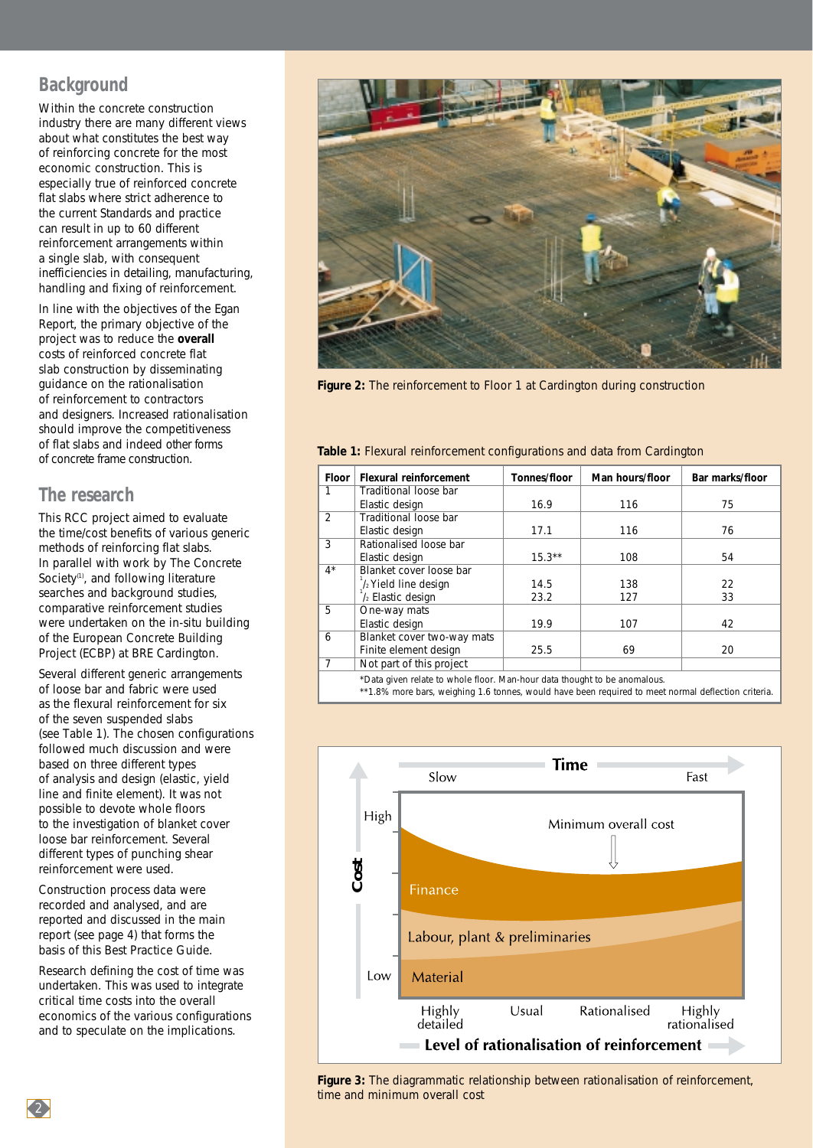## **Background**

Within the concrete construction industry there are many different views about what constitutes the best way of reinforcing concrete for the most economic construction. This is especially true of reinforced concrete flat slabs where strict adherence to the current Standards and practice can result in up to 60 different reinforcement arrangements within a single slab, with consequent inefficiencies in detailing, manufacturing, handling and fixing of reinforcement.

In line with the objectives of the Egan Report, the primary objective of the project was to reduce the **overall** costs of reinforced concrete flat slab construction by disseminating guidance on the rationalisation of reinforcement to contractors and designers. Increased rationalisation should improve the competitiveness of flat slabs and indeed other forms of concrete frame construction.

## **The research**

This RCC project aimed to evaluate the time/cost benefits of various generic methods of reinforcing flat slabs. In parallel with work by The Concrete Society<sup>(1)</sup>, and following literature searches and background studies, comparative reinforcement studies were undertaken on the in-situ building of the European Concrete Building Project (ECBP) at BRE Cardington.

Several different generic arrangements of loose bar and fabric were used as the flexural reinforcement for six of the seven suspended slabs (see Table 1)*.* The chosen configurations followed much discussion and were based on three different types of analysis and design (elastic, yield line and finite element). It was not possible to devote whole floors to the investigation of blanket cover loose bar reinforcement. Several different types of punching shear reinforcement were used.

Construction process data were recorded and analysed, and are reported and discussed in the main report (see page 4) that forms the basis of this Best Practice Guide.

Research defining the cost of time was undertaken. This was used to integrate critical time costs into the overall economics of the various configurations and to speculate on the implications.



*Figure 2: The reinforcement to Floor 1 at Cardington during construction*

#### *Table 1: Flexural reinforcement configurations and data from Cardington*

| <b>Floor</b>   | <b>Flexural reinforcement</b> | Tonnes/floor | Man hours/floor | Bar marks/floor |
|----------------|-------------------------------|--------------|-----------------|-----------------|
| 1              | Traditional loose bar         |              |                 |                 |
|                | Elastic design                | 16.9         | 116             | 75              |
| $\overline{2}$ | Traditional loose bar         |              |                 |                 |
|                | Elastic design                | 17.1         | 116             | 76              |
| 3              | Rationalised loose bar        |              |                 |                 |
|                | Elastic design                | $15.3***$    | 108             | 54              |
| $4^*$          | Blanket cover loose bar       |              |                 |                 |
|                | /2 Yield line design          | 14.5         | 138             | 22              |
|                | / <sub>2</sub> Elastic design | 23.2         | 127             | 33              |
| 5              | One-way mats                  |              |                 |                 |
|                | Elastic design                | 19.9         | 107             | 42              |
| 6              | Blanket cover two-way mats    |              |                 |                 |
|                | Finite element design         | 25.5         | 69              | 20              |
| 7              | Not part of this project      |              |                 |                 |
|                |                               |              |                 |                 |

\*Data given relate to whole floor. Man-hour data thought to be anomalous.

\*\*1.8% more bars, weighing 1.6 tonnes, would have been required to meet normal deflection criteria.



*Figure 3: The diagrammatic relationship between rationalisation of reinforcement,*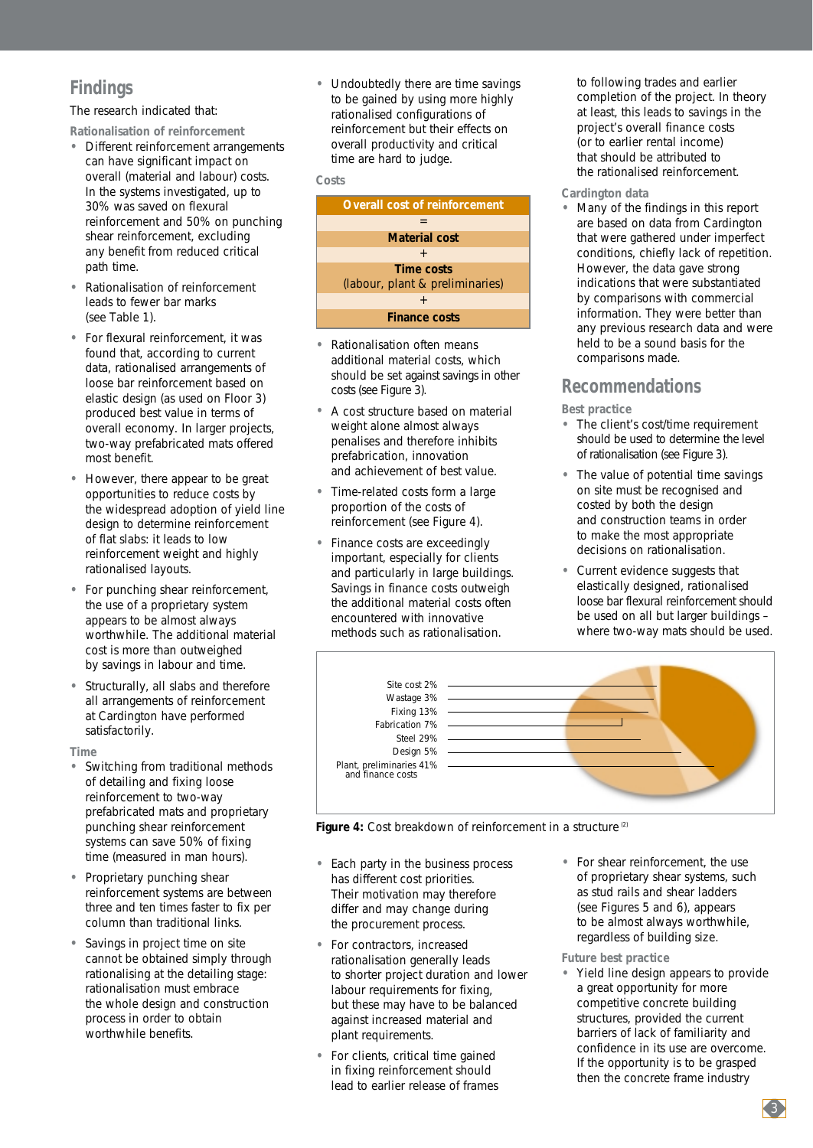# **Findings**

The research indicated that:

**Rationalisation of reinforcement**

- Different reinforcement arrangements can have significant impact on overall (material and labour) costs. In the systems investigated, up to 30% was saved on flexural reinforcement and 50% on punching shear reinforcement, excluding any benefit from reduced critical path time.
- Rationalisation of reinforcement leads to fewer bar marks (see Table 1).
- For flexural reinforcement, it was found that, according to current data, rationalised arrangements of loose bar reinforcement based on elastic design (as used on Floor 3) produced best value in terms of overall economy. In larger projects, two-way prefabricated mats offered most benefit.
- However, there appear to be great opportunities to reduce costs by the widespread adoption of yield line design to determine reinforcement of flat slabs: it leads to low reinforcement weight and highly rationalised layouts.
- For punching shear reinforcement, the use of a proprietary system appears to be almost always worthwhile. The additional material cost is more than outweighed by savings in labour and time.
- Structurally, all slabs and therefore all arrangements of reinforcement at Cardington have performed satisfactorily.

**Time** 

- Switching from traditional methods of detailing and fixing loose reinforcement to two-way prefabricated mats and proprietary punching shear reinforcement systems can save 50% of fixing time (measured in man hours).
- Proprietary punching shear reinforcement systems are between three and ten times faster to fix per column than traditional links.
- Savings in project time on site cannot be obtained simply through rationalising at the detailing stage: rationalisation must embrace the whole design and construction process in order to obtain worthwhile benefits.

• Undoubtedly there are time savings to be gained by using more highly rationalised configurations of reinforcement but their effects on overall productivity and critical time are hard to judge.

#### **Costs**

| <b>Overall cost of reinforcement</b>                 |
|------------------------------------------------------|
|                                                      |
| <b>Material cost</b>                                 |
| $^{+}$                                               |
| <b>Time costs</b><br>(labour, plant & preliminaries) |
|                                                      |
| <b>Finance costs</b>                                 |
|                                                      |

- Rationalisation often means additional material costs, which should be set against savings in other costs (see Figure 3).
- A cost structure based on material weight alone almost always penalises and therefore inhibits prefabrication, innovation and achievement of best value.
- Time-related costs form a large proportion of the costs of reinforcement (see Figure 4)*.*
- Finance costs are exceedingly important, especially for clients and particularly in large buildings. Savings in finance costs outweigh the additional material costs often encountered with innovative methods such as rationalisation.

to following trades and earlier completion of the project. In theory at least, this leads to savings in the project's overall finance costs (or to earlier rental income) that should be attributed to the rationalised reinforcement.

#### **Cardington data**

• Many of the findings in this report are based on data from Cardington that were gathered under imperfect conditions, chiefly lack of repetition. However, the data gave strong indications that were substantiated by comparisons with commercial information. They were better than any previous research data and were held to be a sound basis for the comparisons made.

## **Recommendations**

**Best practice**

- The client's cost/time requirement should be used to determine the level of rationalisation (see Figure 3)*.*
- The value of potential time savings on site must be recognised and costed by both the design and construction teams in order to make the most appropriate decisions on rationalisation.
- Current evidence suggests that elastically designed, rationalised loose bar flexural reinforcement should be used on all but larger buildings – where two-way mats should be used.



*Figure 4: Cost breakdown of reinforcement in a structure (2)* 

- Each party in the business process has different cost priorities. Their motivation may therefore differ and may change during the procurement process.
- For contractors, increased rationalisation generally leads to shorter project duration and lower labour requirements for fixing, but these may have to be balanced against increased material and plant requirements.
- For clients, critical time gained in fixing reinforcement should lead to earlier release of frames

• For shear reinforcement, the use of proprietary shear systems, such as stud rails and shear ladders (see Figures 5 and 6), appears to be almost always worthwhile, regardless of building size.

**Future best practice**

• Yield line design appears to provide a great opportunity for more competitive concrete building structures, provided the current barriers of lack of familiarity and confidence in its use are overcome. If the opportunity is to be grasped then the concrete frame industry